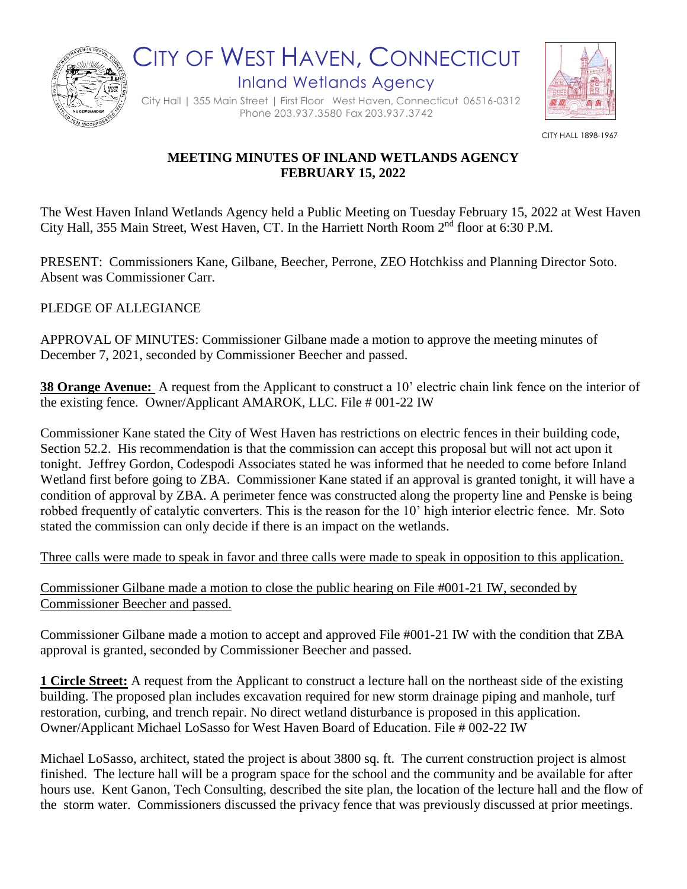

CITY OF WEST HAVEN, CONNECTICUT Inland Wetlands Agency

City Hall | 355 Main Street | First Floor West Haven, Connecticut 06516-0312 Phone 203.937.3580 Fax 203.937.3742



CITY HALL 1898-1967

## **MEETING MINUTES OF INLAND WETLANDS AGENCY FEBRUARY 15, 2022**

The West Haven Inland Wetlands Agency held a Public Meeting on Tuesday February 15, 2022 at West Haven City Hall, 355 Main Street, West Haven, CT. In the Harriett North Room 2nd floor at 6:30 P.M.

PRESENT: Commissioners Kane, Gilbane, Beecher, Perrone, ZEO Hotchkiss and Planning Director Soto. Absent was Commissioner Carr.

PLEDGE OF ALLEGIANCE

APPROVAL OF MINUTES: Commissioner Gilbane made a motion to approve the meeting minutes of December 7, 2021, seconded by Commissioner Beecher and passed.

**38 Orange Avenue:** A request from the Applicant to construct a 10' electric chain link fence on the interior of the existing fence. Owner/Applicant AMAROK, LLC. File # 001-22 IW

Commissioner Kane stated the City of West Haven has restrictions on electric fences in their building code, Section 52.2. His recommendation is that the commission can accept this proposal but will not act upon it tonight. Jeffrey Gordon, Codespodi Associates stated he was informed that he needed to come before Inland Wetland first before going to ZBA. Commissioner Kane stated if an approval is granted tonight, it will have a condition of approval by ZBA. A perimeter fence was constructed along the property line and Penske is being robbed frequently of catalytic converters. This is the reason for the 10' high interior electric fence. Mr. Soto stated the commission can only decide if there is an impact on the wetlands.

Three calls were made to speak in favor and three calls were made to speak in opposition to this application.

Commissioner Gilbane made a motion to close the public hearing on File #001-21 IW, seconded by Commissioner Beecher and passed.

Commissioner Gilbane made a motion to accept and approved File #001-21 IW with the condition that ZBA approval is granted, seconded by Commissioner Beecher and passed.

**1 Circle Street:** A request from the Applicant to construct a lecture hall on the northeast side of the existing building. The proposed plan includes excavation required for new storm drainage piping and manhole, turf restoration, curbing, and trench repair. No direct wetland disturbance is proposed in this application. Owner/Applicant Michael LoSasso for West Haven Board of Education. File # 002-22 IW

Michael LoSasso, architect, stated the project is about 3800 sq. ft. The current construction project is almost finished. The lecture hall will be a program space for the school and the community and be available for after hours use. Kent Ganon, Tech Consulting, described the site plan, the location of the lecture hall and the flow of the storm water. Commissioners discussed the privacy fence that was previously discussed at prior meetings.